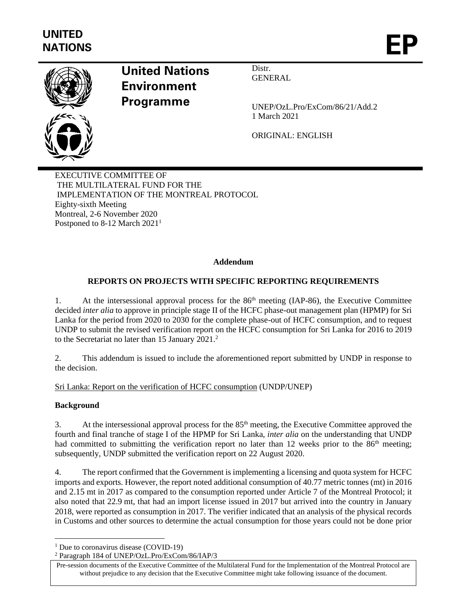

# **United Nations Environment Programme**

Distr. **GENERAL** 

UNEP/OzL.Pro/ExCom/86/21/Add.2 1 March 2021

ORIGINAL: ENGLISH

EXECUTIVE COMMITTEE OF THE MULTILATERAL FUND FOR THE IMPLEMENTATION OF THE MONTREAL PROTOCOL Eighty-sixth Meeting Montreal, 2-6 November 2020 Postponed to 8-12 March 2021<sup>1</sup>

## **Addendum**

# **REPORTS ON PROJECTS WITH SPECIFIC REPORTING REQUIREMENTS**

1. At the intersessional approval process for the  $86<sup>th</sup>$  meeting (IAP-86), the Executive Committee decided *inter alia* to approve in principle stage II of the HCFC phase-out management plan (HPMP) for Sri Lanka for the period from 2020 to 2030 for the complete phase-out of HCFC consumption, and to request UNDP to submit the revised verification report on the HCFC consumption for Sri Lanka for 2016 to 2019 to the Secretariat no later than 15 January 2021.<sup>2</sup>

2. This addendum is issued to include the aforementioned report submitted by UNDP in response to the decision.

Sri Lanka: Report on the verification of HCFC consumption (UNDP/UNEP)

#### **Background**

3. At the intersessional approval process for the  $85<sup>th</sup>$  meeting, the Executive Committee approved the fourth and final tranche of stage I of the HPMP for Sri Lanka, *inter alia* on the understanding that UNDP had committed to submitting the verification report no later than 12 weeks prior to the 86<sup>th</sup> meeting; subsequently, UNDP submitted the verification report on 22 August 2020.

4. The report confirmed that the Government is implementing a licensing and quota system for HCFC imports and exports. However, the report noted additional consumption of 40.77 metric tonnes (mt) in 2016 and 2.15 mt in 2017 as compared to the consumption reported under Article 7 of the Montreal Protocol; it also noted that 22.9 mt, that had an import license issued in 2017 but arrived into the country in January 2018, were reported as consumption in 2017. The verifier indicated that an analysis of the physical records in Customs and other sources to determine the actual consumption for those years could not be done prior

<sup>&</sup>lt;sup>1</sup> Due to coronavirus disease (COVID-19)

<sup>2</sup> Paragraph 184 of UNEP/OzL.Pro/ExCom/86/IAP/3

Pre-session documents of the Executive Committee of the Multilateral Fund for the Implementation of the Montreal Protocol are without prejudice to any decision that the Executive Committee might take following issuance of the document.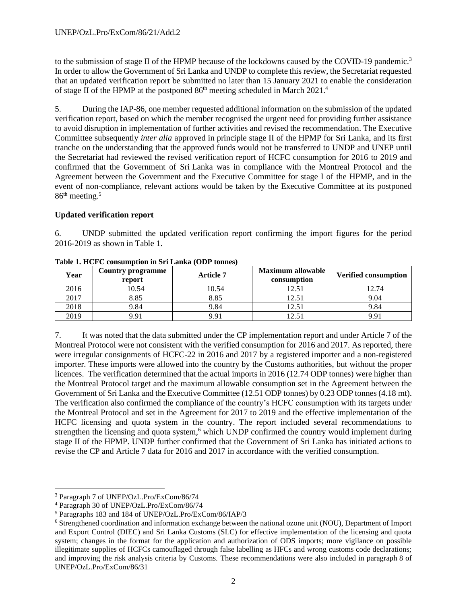to the submission of stage II of the HPMP because of the lockdowns caused by the COVID-19 pandemic.<sup>3</sup> In order to allow the Government of Sri Lanka and UNDP to complete this review, the Secretariat requested that an updated verification report be submitted no later than 15 January 2021 to enable the consideration of stage II of the HPMP at the postponed  $86<sup>th</sup>$  meeting scheduled in March  $2021<sup>4</sup>$ 

5. During the IAP-86, one member requested additional information on the submission of the updated verification report, based on which the member recognised the urgent need for providing further assistance to avoid disruption in implementation of further activities and revised the recommendation. The Executive Committee subsequently *inter alia* approved in principle stage II of the HPMP for Sri Lanka, and its first tranche on the understanding that the approved funds would not be transferred to UNDP and UNEP until the Secretariat had reviewed the revised verification report of HCFC consumption for 2016 to 2019 and confirmed that the Government of Sri Lanka was in compliance with the Montreal Protocol and the Agreement between the Government and the Executive Committee for stage I of the HPMP, and in the event of non-compliance, relevant actions would be taken by the Executive Committee at its postponed 86<sup>th</sup> meeting.<sup>5</sup>

### **Updated verification report**

6. UNDP submitted the updated verification report confirming the import figures for the period 2016-2019 as shown in Table 1.

| Year | <b>Country programme</b><br>report | <b>Article 7</b> | <b>Maximum allowable</b><br>consumption | <b>Verified consumption</b> |
|------|------------------------------------|------------------|-----------------------------------------|-----------------------------|
| 2016 | 10.54                              | 10.54            | 12.51                                   | 12.74                       |
| 2017 | 8.85                               | 8.85             | 12.51                                   | 9.04                        |
| 2018 | 9.84                               | 9.84             | 12.51                                   | 9.84                        |
| 2019 | 9.91                               | 9.91             | 12.51                                   | 9.91                        |

**Table 1. HCFC consumption in Sri Lanka (ODP tonnes)**

7. It was noted that the data submitted under the CP implementation report and under Article 7 of the Montreal Protocol were not consistent with the verified consumption for 2016 and 2017. As reported, there were irregular consignments of HCFC-22 in 2016 and 2017 by a registered importer and a non-registered importer. These imports were allowed into the country by the Customs authorities, but without the proper licences. The verification determined that the actual imports in 2016 (12.74 ODP tonnes) were higher than the Montreal Protocol target and the maximum allowable consumption set in the Agreement between the Government of Sri Lanka and the Executive Committee (12.51 ODP tonnes) by 0.23 ODP tonnes (4.18 mt). The verification also confirmed the compliance of the country's HCFC consumption with its targets under the Montreal Protocol and set in the Agreement for 2017 to 2019 and the effective implementation of the HCFC licensing and quota system in the country. The report included several recommendations to strengthen the licensing and quota system,<sup>6</sup> which UNDP confirmed the country would implement during stage II of the HPMP. UNDP further confirmed that the Government of Sri Lanka has initiated actions to revise the CP and Article 7 data for 2016 and 2017 in accordance with the verified consumption.

<sup>3</sup> Paragraph 7 of UNEP/OzL.Pro/ExCom/86/74

<sup>4</sup> Paragraph 30 of UNEP/OzL.Pro/ExCom/86/74

<sup>5</sup> Paragraphs 183 and 184 of UNEP/OzL.Pro/ExCom/86/IAP/3

<sup>&</sup>lt;sup>6</sup> Strengthened coordination and information exchange between the national ozone unit (NOU), Department of Import and Export Control (DIEC) and Sri Lanka Customs (SLC) for effective implementation of the licensing and quota system; changes in the format for the application and authorization of ODS imports; more vigilance on possible illegitimate supplies of HCFCs camouflaged through false labelling as HFCs and wrong customs code declarations; and improving the risk analysis criteria by Customs. These recommendations were also included in paragraph 8 of UNEP/OzL.Pro/ExCom/86/31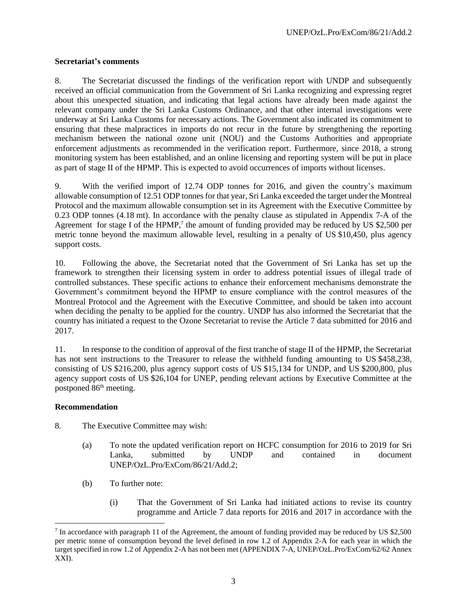#### **Secretariat's comments**

8. The Secretariat discussed the findings of the verification report with UNDP and subsequently received an official communication from the Government of Sri Lanka recognizing and expressing regret about this unexpected situation, and indicating that legal actions have already been made against the relevant company under the Sri Lanka Customs Ordinance, and that other internal investigations were underway at Sri Lanka Customs for necessary actions. The Government also indicated its commitment to ensuring that these malpractices in imports do not recur in the future by strengthening the reporting mechanism between the national ozone unit (NOU) and the Customs Authorities and appropriate enforcement adjustments as recommended in the verification report. Furthermore, since 2018, a strong monitoring system has been established, and an online licensing and reporting system will be put in place as part of stage II of the HPMP. This is expected to avoid occurrences of imports without licenses.

9. With the verified import of 12.74 ODP tonnes for 2016, and given the country's maximum allowable consumption of 12.51 ODP tonnes for that year, Sri Lanka exceeded the target under the Montreal Protocol and the maximum allowable consumption set in its Agreement with the Executive Committee by 0.23 ODP tonnes (4.18 mt). In accordance with the penalty clause as stipulated in Appendix 7-A of the Agreement for stage I of the HPMP,<sup>7</sup> the amount of funding provided may be reduced by US \$2,500 per metric tonne beyond the maximum allowable level, resulting in a penalty of US \$10,450, plus agency support costs.

10. Following the above, the Secretariat noted that the Government of Sri Lanka has set up the framework to strengthen their licensing system in order to address potential issues of illegal trade of controlled substances. These specific actions to enhance their enforcement mechanisms demonstrate the Government's commitment beyond the HPMP to ensure compliance with the control measures of the Montreal Protocol and the Agreement with the Executive Committee, and should be taken into account when deciding the penalty to be applied for the country. UNDP has also informed the Secretariat that the country has initiated a request to the Ozone Secretariat to revise the Article 7 data submitted for 2016 and 2017.

11. In response to the condition of approval of the first tranche of stage II of the HPMP, the Secretariat has not sent instructions to the Treasurer to release the withheld funding amounting to US \$458,238, consisting of US \$216,200, plus agency support costs of US \$15,134 for UNDP, and US \$200,800, plus agency support costs of US \$26,104 for UNEP, pending relevant actions by Executive Committee at the postponed  $86<sup>th</sup>$  meeting.

#### **Recommendation**

- 8. The Executive Committee may wish:
	- (a) To note the updated verification report on HCFC consumption for 2016 to 2019 for Sri Lanka, submitted by UNDP and contained in document UNEP/OzL.Pro/ExCom/86/21/Add.2;
	- (b) To further note:
		- (i) That the Government of Sri Lanka had initiated actions to revise its country programme and Article 7 data reports for 2016 and 2017 in accordance with the

<sup>&</sup>lt;sup>7</sup> In accordance with paragraph 11 of the Agreement, the amount of funding provided may be reduced by US \$2,500 per metric tonne of consumption beyond the level defined in row 1.2 of Appendix 2-A for each year in which the target specified in row 1.2 of Appendix 2-A has not been met (APPENDIX 7-A, UNEP/OzL.Pro/ExCom/62/62 Annex XXI).